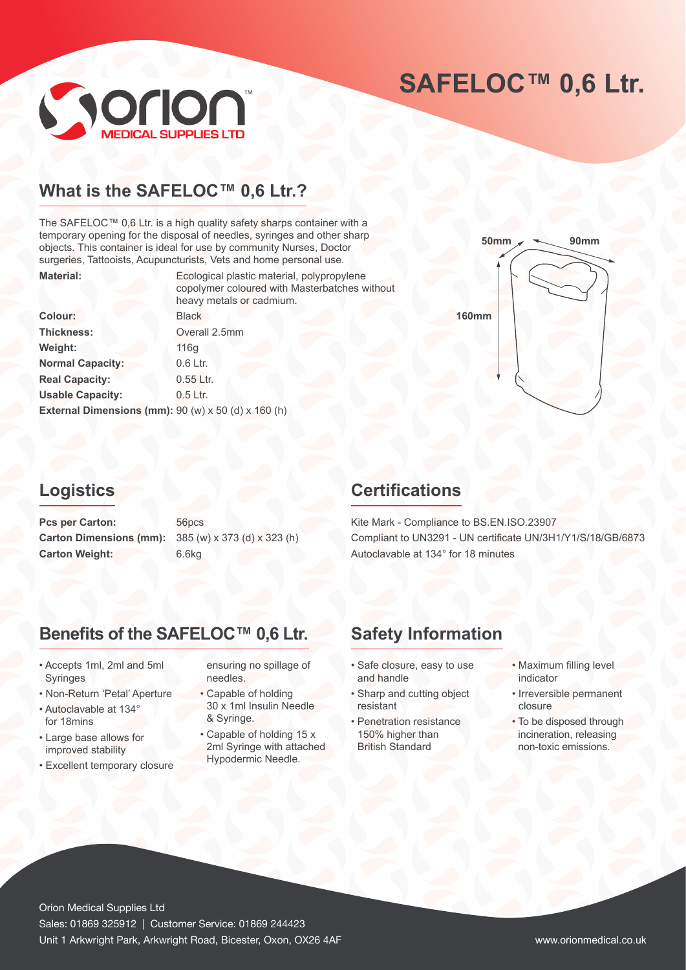# **SAFELOC™ 0,6 Ltr.**



# **What is the SAFELOC™ 0,6 Ltr.?**

The SAFELOC™ 0,6 Ltr. is a high quality safety sharps container with a temporary opening for the disposal of needles, syringes and other sharp objects. This container is ideal for use by community Nurses, Doctor surgeries, Tattooists, Acupuncturists, Vets and home personal use. **Material:** Ecological plastic material, polypropylene

|                                                                 | Louigical plastic material, polypropyione<br>copolymer coloured with Masterbatches without<br>heavy metals or cadmium. |
|-----------------------------------------------------------------|------------------------------------------------------------------------------------------------------------------------|
| <b>Colour:</b>                                                  | <b>Black</b>                                                                                                           |
| Thickness:                                                      | Overall 2.5mm                                                                                                          |
| Weight:                                                         | 116q                                                                                                                   |
| <b>Normal Capacity:</b>                                         | 0.6 Ltr.                                                                                                               |
| <b>Real Capacity:</b>                                           | 0.55 Ltr.                                                                                                              |
| <b>Usable Capacity:</b>                                         | $0.5$ Ltr.                                                                                                             |
| External Dimensions (mm): $90 (w) \times 50 (d) \times 160 (h)$ |                                                                                                                        |



## **Logistics**

Pcs per Carton: 56pcs **Carton Dimensions (mm):** 385 (w) x 373 (d) x 323 (h) Carton Weight: 6.6kg

## **Certifications**

Kite Mark - Compliance to BS.EN.ISO.23907 Compliant to UN3291 - UN certificate UN/3H1/Y1/S/18/GB/6873 Autoclavable at 134° for 18 minutes

# **Benefits of the SAFELOC™ 0,6 Ltr. Safety Information**

- Accepts 1ml, 2ml and 5ml Syringes
- Non-Return 'Petal' Aperture
- Autoclavable at 134° for 18mins
- Large base allows for improved stability
- Excellent temporary closure

ensuring no spillage of needles.

- Capable of holding 30 x 1ml Insulin Needle & Syringe.
- Capable of holding 15 x 2ml Syringe with attached Hypodermic Needle.

- Safe closure, easy to use and handle
- Sharp and cutting object resistant
- Penetration resistance 150% higher than British Standard
- Maximum filling level indicator
- Irreversible permanent closure
- To be disposed through incineration, releasing non-toxic emissions.

Orion Medical Supplies Ltd Sales: 01869 325912 | Customer Service: 01869 244423 Unit 1 Arkwright Park, Arkwright Road, Bicester, Oxon, OX26 4AF